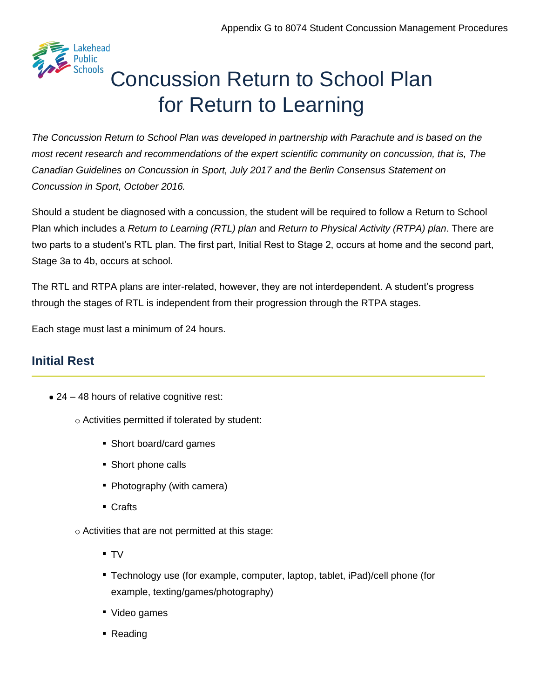

# Concussion Return to School Plan for Return to Learning

*The Concussion Return to School Plan was developed in partnership with Parachute and is based on the most recent research and recommendations of the expert scientific community on concussion, that is, The Canadian Guidelines on Concussion in Sport, July 2017 and the Berlin Consensus Statement on Concussion in Sport, October 2016.*

Should a student be diagnosed with a concussion, the student will be required to follow a Return to School Plan which includes a *Return to Learning (RTL) plan* and *Return to Physical Activity (RTPA) plan*. There are two parts to a student's RTL plan. The first part, Initial Rest to Stage 2, occurs at home and the second part, Stage 3a to 4b, occurs at school.

The RTL and RTPA plans are inter-related, however, they are not interdependent. A student's progress through the stages of RTL is independent from their progression through the RTPA stages.

Each stage must last a minimum of 24 hours.

#### **Initial Rest**

- 24 48 hours of relative cognitive rest:
	- $\circ$  Activities permitted if tolerated by student:
		- Short board/card games
		- Short phone calls
		- Photography (with camera)
		- **Crafts**

 $\circ$  Activities that are not permitted at this stage:

- TV
- Technology use (for example, computer, laptop, tablet, iPad)/cell phone (for example, texting/games/photography)
- Video games
- Reading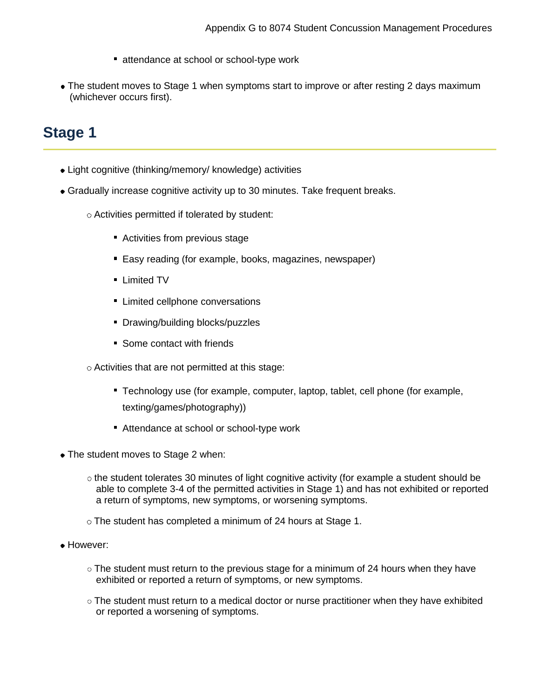- **Exercise at school or school-type work**
- The student moves to Stage 1 when symptoms start to improve or after resting 2 days maximum (whichever occurs first).

# **Stage 1**

- Light cognitive (thinking/memory/ knowledge) activities
- Gradually increase cognitive activity up to 30 minutes. Take frequent breaks.
	- Activities permitted if tolerated by student:
		- Activities from previous stage
		- **Easy reading (for example, books, magazines, newspaper)**
		- **Limited TV**
		- **EXECUTE:** Limited cellphone conversations
		- Drawing/building blocks/puzzles
		- Some contact with friends
	- $\circ$  Activities that are not permitted at this stage:
		- Technology use (for example, computer, laptop, tablet, cell phone (for example, texting/games/photography))
		- Attendance at school or school-type work
- The student moves to Stage 2 when:
	- $\circ$  the student tolerates 30 minutes of light cognitive activity (for example a student should be able to complete 3-4 of the permitted activities in Stage 1) and has not exhibited or reported a return of symptoms, new symptoms, or worsening symptoms.
	- The student has completed a minimum of 24 hours at Stage 1.
- However:
	- $\circ$  The student must return to the previous stage for a minimum of 24 hours when they have exhibited or reported a return of symptoms, or new symptoms.
	- $\circ$  The student must return to a medical doctor or nurse practitioner when they have exhibited or reported a worsening of symptoms.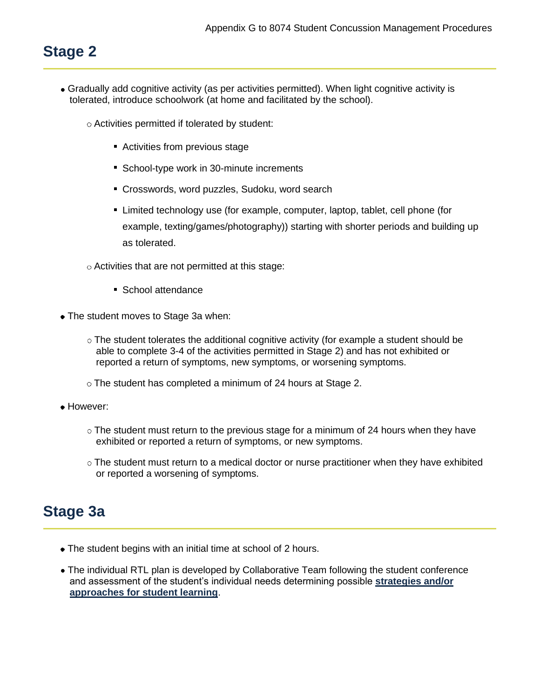# **Stage 2**

- Gradually add cognitive activity (as per activities permitted). When light cognitive activity is tolerated, introduce schoolwork (at home and facilitated by the school).
	- $\circ$  Activities permitted if tolerated by student:
		- Activities from previous stage
		- School-type work in 30-minute increments
		- Crosswords, word puzzles, Sudoku, word search
		- Limited technology use (for example, computer, laptop, tablet, cell phone (for example, texting/games/photography)) starting with shorter periods and building up as tolerated.
	- Activities that are not permitted at this stage:
		- School attendance
- The student moves to Stage 3a when:
	- $\circ$  The student tolerates the additional cognitive activity (for example a student should be able to complete 3-4 of the activities permitted in Stage 2) and has not exhibited or reported a return of symptoms, new symptoms, or worsening symptoms.
	- The student has completed a minimum of 24 hours at Stage 2.
- However:
	- $\circ$  The student must return to the previous stage for a minimum of 24 hours when they have exhibited or reported a return of symptoms, or new symptoms.
	- $\circ$  The student must return to a medical doctor or nurse practitioner when they have exhibited or reported a worsening of symptoms.

## **Stage 3a**

- The student begins with an initial time at school of 2 hours.
- The individual RTL plan is developed by Collaborative Team following the student conference and assessment of the student's individual needs determining possible **[strategies and/or](https://safety.ophea.net/resources/834) [approaches for student learning](https://safety.ophea.net/resources/834)**.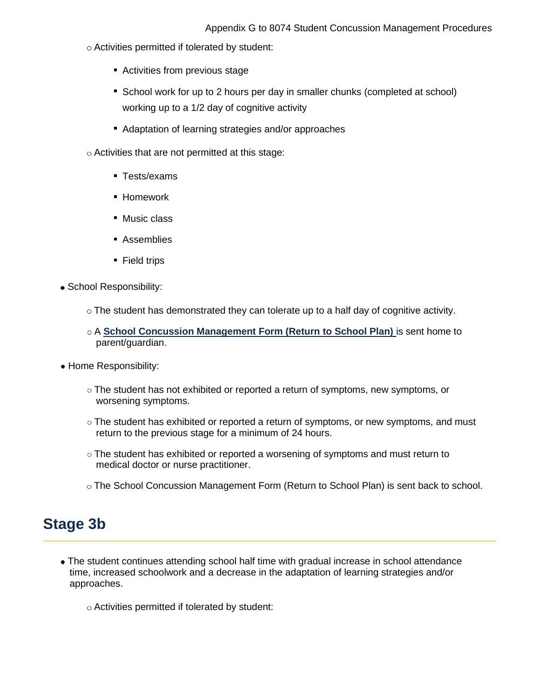- Activities permitted if tolerated by student:
	- Activities from previous stage
	- **School work for up to 2 hours per day in smaller chunks (completed at school)** working up to a 1/2 day of cognitive activity
	- Adaptation of learning strategies and/or approaches
- Activities that are not permitted at this stage:
	- **Tests/exams**
	- **Homework**
	- Music class
	- **Assemblies**
	- Field trips
- School Responsibility:
	- $\circ$  The student has demonstrated they can tolerate up to a half day of cognitive activity.
	- A **[School Concussion Management Form \(Return to School Plan\)](https://safety.ophea.net/resources/825)** is sent home to parent/guardian.
- Home Responsibility:
	- $\circ$  The student has not exhibited or reported a return of symptoms, new symptoms, or worsening symptoms.
	- o The student has exhibited or reported a return of symptoms, or new symptoms, and must return to the previous stage for a minimum of 24 hours.
	- $\circ$  The student has exhibited or reported a worsening of symptoms and must return to medical doctor or nurse practitioner.
	- The School Concussion Management Form (Return to School Plan) is sent back to school.

### **Stage 3b**

- The student continues attending school half time with gradual increase in school attendance time, increased schoolwork and a decrease in the adaptation of learning strategies and/or approaches.
	- Activities permitted if tolerated by student: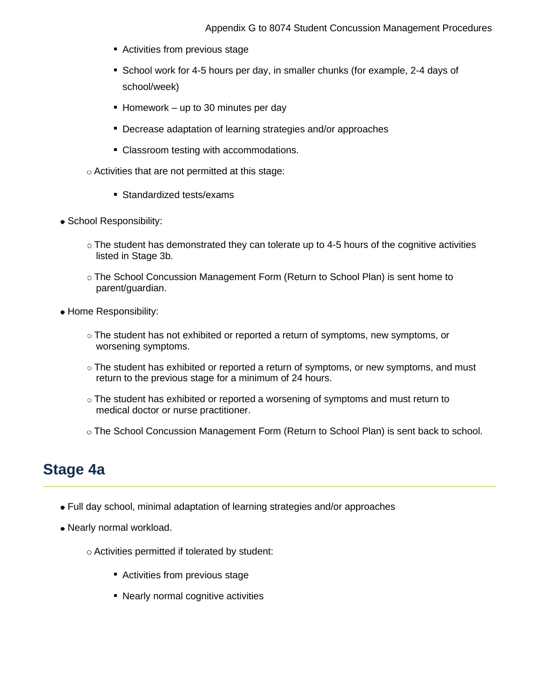- Activities from previous stage
- **School work for 4-5 hours per day, in smaller chunks (for example, 2-4 days of** school/week)
- Homework up to 30 minutes per day
- Decrease adaptation of learning strategies and/or approaches
- Classroom testing with accommodations.
- $\circ$  Activities that are not permitted at this stage:
	- Standardized tests/exams
- School Responsibility:
	- $\circ$  The student has demonstrated they can tolerate up to 4-5 hours of the cognitive activities listed in Stage 3b.
	- The School Concussion Management Form (Return to School Plan) is sent home to parent/guardian.
- Home Responsibility:
	- The student has not exhibited or reported a return of symptoms, new symptoms, or worsening symptoms.
	- $\circ$  The student has exhibited or reported a return of symptoms, or new symptoms, and must return to the previous stage for a minimum of 24 hours.
	- $\circ$  The student has exhibited or reported a worsening of symptoms and must return to medical doctor or nurse practitioner.
	- The School Concussion Management Form (Return to School Plan) is sent back to school.

### **Stage 4a**

- Full day school, minimal adaptation of learning strategies and/or approaches
- Nearly normal workload.
	- Activities permitted if tolerated by student:
		- Activities from previous stage
		- Nearly normal cognitive activities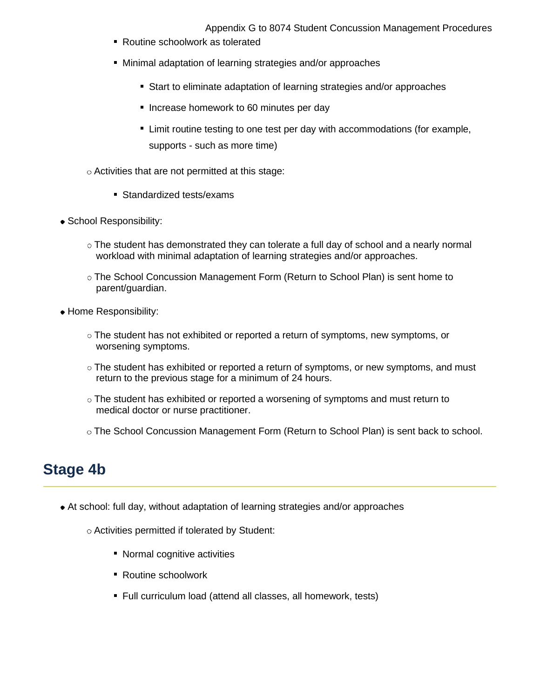Appendix G to 8074 Student Concussion Management Procedures

- Routine schoolwork as tolerated
- Minimal adaptation of learning strategies and/or approaches
	- Start to eliminate adaptation of learning strategies and/or approaches
	- **Increase homework to 60 minutes per day**
	- **EXT** Limit routine testing to one test per day with accommodations (for example, supports - such as more time)
- Activities that are not permitted at this stage:
	- Standardized tests/exams
- School Responsibility:
	- $\circ$  The student has demonstrated they can tolerate a full day of school and a nearly normal workload with minimal adaptation of learning strategies and/or approaches.
	- The School Concussion Management Form (Return to School Plan) is sent home to parent/guardian.
- Home Responsibility:
	- The student has not exhibited or reported a return of symptoms, new symptoms, or worsening symptoms.
	- $\circ$  The student has exhibited or reported a return of symptoms, or new symptoms, and must return to the previous stage for a minimum of 24 hours.
	- $\circ$  The student has exhibited or reported a worsening of symptoms and must return to medical doctor or nurse practitioner.
	- The School Concussion Management Form (Return to School Plan) is sent back to school.

## **Stage 4b**

- At school: full day, without adaptation of learning strategies and/or approaches
	- Activities permitted if tolerated by Student:
		- Normal cognitive activities
		- Routine schoolwork
		- Full curriculum load (attend all classes, all homework, tests)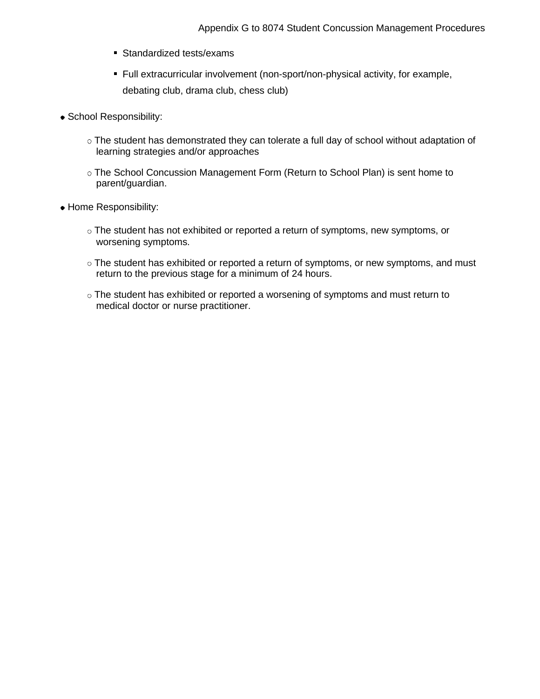- Standardized tests/exams
- Full extracurricular involvement (non-sport/non-physical activity, for example, debating club, drama club, chess club)
- School Responsibility:
	- The student has demonstrated they can tolerate a full day of school without adaptation of learning strategies and/or approaches
	- The School Concussion Management Form (Return to School Plan) is sent home to parent/guardian.
- Home Responsibility:
	- The student has not exhibited or reported a return of symptoms, new symptoms, or worsening symptoms.
	- The student has exhibited or reported a return of symptoms, or new symptoms, and must return to the previous stage for a minimum of 24 hours.
	- The student has exhibited or reported a worsening of symptoms and must return to medical doctor or nurse practitioner.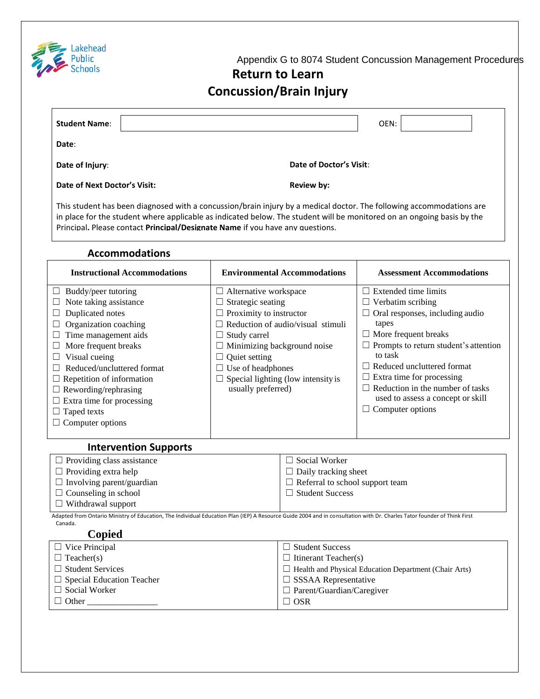

Appendix G to 8074 Student Concussion Management Procedures

#### **Return to Learn Concussion/Brain Injury**

| <b>Student Name:</b>         | OEN:                                                                                                                                                                                                                                           |
|------------------------------|------------------------------------------------------------------------------------------------------------------------------------------------------------------------------------------------------------------------------------------------|
| Date:                        |                                                                                                                                                                                                                                                |
| Date of Injury:              | Date of Doctor's Visit:                                                                                                                                                                                                                        |
| Date of Next Doctor's Visit: | <b>Review by:</b>                                                                                                                                                                                                                              |
|                              | This student has been diagnosed with a concussion/brain injury by a medical doctor. The following accommodations are<br>in place for the student where applicable as indicated below. The student will be menitored an an engoing basis by the |

in place for the student where applicable as indicated below. The student will be monitored on an ongoing basis by the Principal**.** Please contact **Principal/Designate Name** if you have any questions.

#### **Accommodations**

| <b>Instructional Accommodations</b> | <b>Environmental Accommodations</b>       | <b>Assessment Accommodations</b>             |  |  |
|-------------------------------------|-------------------------------------------|----------------------------------------------|--|--|
| Buddy/peer tutoring                 | $\Box$ Alternative workspace              | $\Box$ Extended time limits                  |  |  |
| Note taking assistance              | $\Box$ Strategic seating                  | $\Box$ Verbatim scribing                     |  |  |
| Duplicated notes                    | $\Box$ Proximity to instructor            | $\Box$ Oral responses, including audio       |  |  |
| Organization coaching               | $\Box$ Reduction of audio/visual stimuli  | tapes                                        |  |  |
| Time management aids                | $\Box$ Study carrel                       | $\Box$ More frequent breaks                  |  |  |
| More frequent breaks                | $\Box$ Minimizing background noise        | $\Box$ Prompts to return student's attention |  |  |
| Visual cueing                       | Quiet setting                             | to task                                      |  |  |
| Reduced/uncluttered format          | $\Box$ Use of headphones                  | $\Box$ Reduced uncluttered format            |  |  |
| $\Box$ Repetition of information    | $\Box$ Special lighting (low intensity is | $\Box$ Extra time for processing             |  |  |
| $\Box$ Rewording/rephrasing         | usually preferred)                        | Reduction in the number of tasks<br>$\perp$  |  |  |
| $\Box$ Extra time for processing    |                                           | used to assess a concept or skill            |  |  |
| $\Box$ Taped texts                  |                                           | $\Box$ Computer options                      |  |  |
| $\Box$ Computer options             |                                           |                                              |  |  |
|                                     |                                           |                                              |  |  |
| Intervention Sunnorts               |                                           |                                              |  |  |

| $\Box$ Providing class assistance                                                                                                                                       | $\Box$ Social Worker                   |  |
|-------------------------------------------------------------------------------------------------------------------------------------------------------------------------|----------------------------------------|--|
| $\Box$ Providing extra help                                                                                                                                             | $\Box$ Daily tracking sheet            |  |
| $\Box$ Involving parent/guardian                                                                                                                                        | $\Box$ Referral to school support team |  |
| $\Box$ Counseling in school                                                                                                                                             | $\Box$ Student Success                 |  |
| $\Box$ Withdrawal support                                                                                                                                               |                                        |  |
| Adapted from Ontario Ministry of Education, The Individual Education Plan (IEP) A Resource Guide 2004 and in consultation with Dr. Charles Tator founder of Think First |                                        |  |
| Canada.                                                                                                                                                                 |                                        |  |

#### **Copied**

| $\Box$ Vice Principal            | $\Box$ Student Success                                       |
|----------------------------------|--------------------------------------------------------------|
| $\Box$ Teacher(s)                | $\Box$ Itinerant Teacher(s)                                  |
| $\Box$ Student Services          | $\Box$ Health and Physical Education Department (Chair Arts) |
| $\Box$ Special Education Teacher | $\Box$ SSSAA Representative                                  |
| $\Box$ Social Worker             | $\Box$ Parent/Guardian/Caregiver                             |
| $\Box$ Other                     | $\Box$ OSR                                                   |